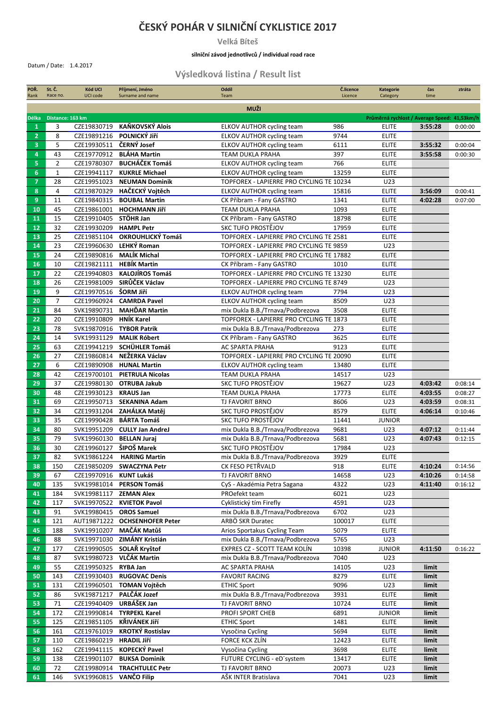## **ČESKÝ POHÁR V SILNIČNÍ CYKLISTICE 2017**

**Velká Bíteš**

## **silniční závod jednotlivců / individual road race**

Datum / Date: 1.4.2017

## **Výsledková listina / Result list**

| POŘ.           | St. Č.           | <b>Kód UCI</b>           | Příjmení, Jméno               | Oddíl                                                  | Č.licence     | <b>Kategorie</b>                             | čas                | ztráta             |
|----------------|------------------|--------------------------|-------------------------------|--------------------------------------------------------|---------------|----------------------------------------------|--------------------|--------------------|
| Rank           | Race no.         | <b>UCI code</b>          | Surname and name              | Team                                                   | Licence       | Category                                     | time               |                    |
|                |                  |                          |                               | <b>MUŽI</b>                                            |               |                                              |                    |                    |
| Délka          | Distance: 163 km |                          |                               |                                                        |               | Průměrná rychlost / Average Speed: 41,53km/h |                    |                    |
| $\mathbf{1}$   | 3                | CZE19830719              | KAŇKOVSKÝ Alois               | ELKOV AUTHOR cycling team                              | 986           | ELITE                                        | 3:55:28            | 0:00:00            |
| $\overline{2}$ | 8                | CZE19891216              | POLNICKÝ Jiří                 | ELKOV AUTHOR cycling team                              | 9744          | <b>ELITE</b>                                 |                    |                    |
| 3              | 5                | CZE19930511              | ČERNÝ Josef                   | <b>ELKOV AUTHOR cycling team</b>                       | 6111          | <b>ELITE</b>                                 | 3:55:32            | 0:00:04            |
| 4              | 43               | CZE19770912              | <b>BLÁHA Martin</b>           | <b>TEAM DUKLA PRAHA</b>                                | 397           | <b>ELITE</b>                                 | 3:55:58            | 0:00:30            |
| 5              | $\overline{2}$   | CZE19780307              | <b>BUCHÁČEK Tomáš</b>         | <b>ELKOV AUTHOR cycling team</b>                       | 766           | <b>ELITE</b>                                 |                    |                    |
| 6              | $\mathbf{1}$     | CZE19941117              | <b>KUKRLE Michael</b>         | <b>ELKOV AUTHOR cycling team</b>                       | 13259         | <b>ELITE</b>                                 |                    |                    |
| $\overline{7}$ | 28               | CZE19951023              | <b>NEUMAN Dominik</b>         | TOPFOREX - LAPIERRE PRO CYCLING TE 10234               |               | U23                                          |                    |                    |
| 8              | 4                |                          | CZE19870329 HAČECKÝ Vojtěch   | <b>ELKOV AUTHOR cycling team</b>                       | 15816         | <b>ELITE</b>                                 | 3:56:09            | 0:00:41            |
| 9              | 11               | CZE19840315              | <b>BOUBAL Martin</b>          | CK Příbram - Fany GASTRO                               | 1341          | <b>ELITE</b>                                 | 4:02:28            | 0:07:00            |
| 10             | 45               | CZE19861001              | <b>HOCHMANN Jiří</b>          | <b>TEAM DUKLA PRAHA</b>                                | 1093          | <b>ELITE</b>                                 |                    |                    |
| 11             | 15               | CZE19910405 STÖHR Jan    |                               | CK Příbram - Fany GASTRO                               | 18798         | <b>ELITE</b>                                 |                    |                    |
| 12             | 32               | CZE19930209              | <b>HAMPL Petr</b>             | SKC TUFO PROSTĚJOV                                     | 17959         | <b>ELITE</b>                                 |                    |                    |
| 13             | 25               | CZE19851104              | OKROUHLICKÝ Tomáš             | TOPFOREX - LAPIERRE PRO CYCLING TE 2581                |               | <b>ELITE</b>                                 |                    |                    |
| 14             | 23               |                          | CZE19960630 LEHKÝ Roman       | TOPFOREX - LAPIERRE PRO CYCLING TE 9859                |               | U23                                          |                    |                    |
| 15             | 24               |                          | CZE19890816 MALÍK Michal      | TOPFOREX - LAPIERRE PRO CYCLING TE 17882               |               | <b>ELITE</b>                                 |                    |                    |
| 16             | 10               | CZE19821111              | <b>HEBÍK Martin</b>           | CK Příbram - Fany GASTRO                               | 1010          | <b>ELITE</b>                                 |                    |                    |
| 17             | 22               | CZE19940803              | <b>KALOJÍROS Tomáš</b>        | TOPFOREX - LAPIERRE PRO CYCLING TE 13230               |               | <b>ELITE</b>                                 |                    |                    |
| 18             | 26               |                          | CZE19981009 SIRŮČEK Václav    | TOPFOREX - LAPIERRE PRO CYCLING TE 8749                |               | U23                                          |                    |                    |
| 19             | 9                | CZE19970516 ŠORM Jiří    |                               | ELKOV AUTHOR cycling team                              | 7794          | U23                                          |                    |                    |
| 20             | $\overline{7}$   | CZE19960924              | <b>CAMRDA Pavel</b>           | <b>ELKOV AUTHOR cycling team</b>                       | 8509          | U23                                          |                    |                    |
| 21             | 84               | SVK19890731              | <b>MAHĎAR Martin</b>          | mix Dukla B.B./Trnava/Podbrezova                       | 3508          | <b>ELITE</b>                                 |                    |                    |
| 22             | 20               | CZE19910809              | <b>HNÍK Karel</b>             | TOPFOREX - LAPIERRE PRO CYCLING TE 1873                |               | <b>ELITE</b>                                 |                    |                    |
| 23             | 78               | SVK19870916 TYBOR Patrik |                               | mix Dukla B.B./Trnava/Podbrezova                       | 273           | <b>ELITE</b>                                 |                    |                    |
| 24             | 14               |                          | SVK19931129 MALIK Róbert      | CK Příbram - Fany GASTRO                               | 3625          | <b>ELITE</b>                                 |                    |                    |
| 25             | 63               |                          | CZE19941219 SCHÜHLER Tomáš    | AC SPARTA PRAHA                                        | 9123          | <b>ELITE</b>                                 |                    |                    |
| 26             | 27               | CZE19860814              | NEŽERKA Václav                | TOPFOREX - LAPIERRE PRO CYCLING TE 20090               |               | <b>ELITE</b>                                 |                    |                    |
| 27             | 6                |                          | CZE19890908 HUNAL Martin      | ELKOV AUTHOR cycling team                              | 13480         | <b>ELITE</b>                                 |                    |                    |
| 28             | 42               |                          | CZE19700101 PIETRULA Nicolas  | TEAM DUKLA PRAHA                                       | 14517         | U23                                          |                    |                    |
| 29             | 37               | CZE19980130              | <b>OTRUBA Jakub</b>           | SKC TUFO PROSTĚJOV                                     | 19627         | U23                                          | 4:03:42            | 0:08:14            |
| 30             | 48               | CZE19930123              | <b>KRAUS Jan</b>              | <b>TEAM DUKLA PRAHA</b>                                | 17773         | <b>ELITE</b>                                 | 4:03:55            | 0:08:27            |
| 31             | 69               | CZE19950713              | <b>SEKANINA Adam</b>          | <b>TJ FAVORIT BRNO</b>                                 | 8606          | U23                                          | 4:03:59            | 0:08:31            |
| 32             | 34               | CZE19931204              | ZAHÁLKA Matěj                 | SKC TUFO PROSTĚJOV                                     | 8579          | <b>ELITE</b>                                 | 4:06:14            | 0:10:46            |
| 33             | 35               | CZE19990428              | <b>BÁRTA Tomáš</b>            | <b>SKC TUFO PROSTĚJOV</b>                              | 11441         | <b>JUNIOR</b>                                |                    |                    |
| 34             | 80               | SVK19951209              | <b>CULLY Jan AndreJ</b>       | mix Dukla B.B./Trnava/Podbrezova                       | 9681          | U23                                          | 4:07:12            | 0:11:44            |
| 35             | 79               | SVK19960130 BELLAN Juraj | ŠIPOŠ Marek                   | mix Dukla B.B./Trnava/Podbrezova<br>SKC TUFO PROSTĚJOV | 5681          | U23                                          | 4:07:43            | 0:12:15            |
| 36             | 30               | CZE19960127              |                               |                                                        | 17984         | U23                                          |                    |                    |
| 37             | 82               | SVK19861224              | <b>HARING Martin</b>          | mix Dukla B.B./Trnava/Podbrezova                       | 3929<br>918   | <b>ELITE</b><br><b>ELITE</b>                 |                    |                    |
| 38<br>39       | 150<br>67        | CZE19970916 KUNT Lukáš   | CZE19850209 SWACZYNA Petr     | CK FESO PETRVALD                                       |               | U23                                          | 4:10:24            | 0:14:56            |
| 40             | 135              |                          | SVK19981014 PERSON Tomáš      | TJ FAVORIT BRNO<br>CyS - Akadémia Petra Sagana         | 14658<br>4322 | U23                                          | 4:10:26<br>4:11:40 | 0:14:58<br>0:16:12 |
| 41             | 184              | SVK19981117 ZEMAN Alex   |                               | PROefekt team                                          | 6021          | U23                                          |                    |                    |
| 42             | 117              |                          | SVK19970522 KVIETOK Pavol     | Cyklistický tím Firefly                                | 4591          | U23                                          |                    |                    |
| 43             | 91               |                          | SVK19980415 OROS Samuel       | mix Dukla B.B./Trnava/Podbrezova                       | 6702          | U23                                          |                    |                    |
| 44             | 121              |                          | AUT19871222 OCHSENHOFER Peter | ARBÖ SKR Duratec                                       | 100017        | <b>ELITE</b>                                 |                    |                    |
| 45             | 188              |                          | SVK19910207 MAČÁK Matůš       | Arios Sportakus Cycling Team                           | 5079          | <b>ELITE</b>                                 |                    |                    |
| 46             | 88               |                          | SVK19971030 ZIMÁNY Kristián   | mix Dukla B.B./Trnava/Podbrezova                       | 5765          | U23                                          |                    |                    |
| 47             | 177              |                          | CZE19990505 SOLAŘ Kryštof     | EXPRES CZ - SCOTT TEAM KOLÍN                           | 10398         | <b>JUNIOR</b>                                | 4:11:50            | 0:16:22            |
| 48             | 87               |                          | SVK19980723 VLČÁK Martin      | mix Dukla B.B./Trnava/Podbrezova                       | 7040          | U23                                          |                    |                    |
| 49             | 55               | CZE19950325 RYBA Jan     |                               | AC SPARTA PRAHA                                        | 14105         | U23                                          | limit              |                    |
| 50             | 143              |                          | CZE19930403 RUGOVAC Denis     | <b>FAVORIT RACING</b>                                  | 8279          | <b>ELITE</b>                                 | limit              |                    |
| 51             | 131              |                          | CZE19960501 TOMAN Vojtěch     | <b>ETHIC Sport</b>                                     | 9096          | U23                                          | limit              |                    |
| 52             | 86               |                          | SVK19871217 PALČÁK Jozef      | mix Dukla B.B./Trnava/Podbrezova                       | 3931          | <b>ELITE</b>                                 | limit              |                    |
| 53             | 71               | CZE19940409 URBÁŠEK Jan  |                               | TJ FAVORIT BRNO                                        | 10724         | <b>ELITE</b>                                 | limit              |                    |
| 54             | 172              |                          | CZE19990814 TYRPEKL Karel     | PROFI SPORT CHEB                                       | 6891          | <b>JUNIOR</b>                                | limit              |                    |
| 55             | 125              |                          | CZE19851105 KŘIVÁNEK JIří     | <b>ETHIC Sport</b>                                     | 1481          | <b>ELITE</b>                                 | limit              |                    |
| 56             | 161              |                          | CZE19761019 KROTKÝ Rostislav  | Vysočina Cycling                                       | 5694          | <b>ELITE</b>                                 | limit              |                    |
| 57             | 110              | CZE19860219 HRADIL Jiří  |                               | FORCE KCK ZLÍN                                         | 12423         | <b>ELITE</b>                                 | limit              |                    |
| 58             | 162              |                          | CZE19941115 KOPECKÝ Pavel     | Vysočina Cycling                                       | 3698          | <b>ELITE</b>                                 | limit              |                    |
| 59             | 138              |                          | CZE19901107 BUKSA Dominik     | FUTURE CYCLING - eD'system                             | 13417         | <b>ELITE</b>                                 | limit              |                    |
| 60             | 72               |                          | CZE19980914 TRACHTULEC Petr   | TJ FAVORIT BRNO                                        | 20073         | U23                                          | limit              |                    |
| 61             | 146              | SVK19960815 VANČO Filip  |                               | AŠK INTER Bratislava                                   | 7041          | U23                                          | limit              |                    |
|                |                  |                          |                               |                                                        |               |                                              |                    |                    |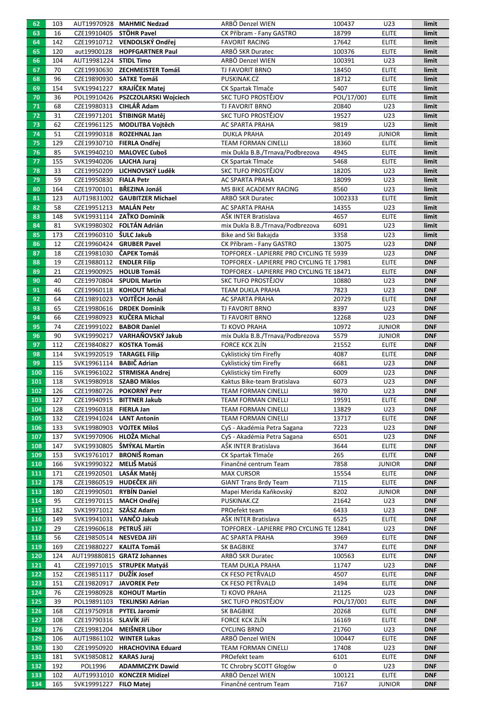| 62       | 103       |                           | AUT19970928 MAHMIC Nedzad         | ARBÖ Denzel WIEN                                   | 100437        | U23                           | limit                    |
|----------|-----------|---------------------------|-----------------------------------|----------------------------------------------------|---------------|-------------------------------|--------------------------|
| 63       | 16        | CZE19910405 STÖHR Pavel   |                                   | CK Příbram - Fany GASTRO                           | 18799         | <b>ELITE</b>                  | limit                    |
| 64       | 142       |                           | CZE19910712 VENDOLSKÝ Ondřej      | <b>FAVORIT RACING</b>                              | 17642         | <b>ELITE</b>                  | limit                    |
| 65       | 120       | aut19900128               | <b>HOPFGARTNER Paul</b>           | ARBÖ SKR Duratec                                   | 100376        | <b>ELITE</b>                  | limit                    |
| 66       | 104       | AUT19981224 STIDL Timo    |                                   | ARBÖ Denzel WIEN                                   | 100391        | U23                           | limit                    |
| 67       | 70        |                           | CZE19930630 ZECHMEISTER Tomáš     | TJ FAVORIT BRNO                                    | 18450         | <b>ELITE</b>                  | limit                    |
| 68       | 96        | CZE19890930 SATKE Tomáš   |                                   | PUSKINAK.CZ                                        | 18712         | <b>ELITE</b>                  | limit                    |
| 69       | 154       |                           | SVK19941227 KRAJÍČEK Matej        | CK Spartak Tlmače                                  | 5407          | <b>ELITE</b>                  | limit                    |
| 70       | 36        |                           | POL19910426 PSZCZOLARSKI Wojciech | SKC TUFO PROSTĚJOV                                 | POL/17/001    | <b>ELITE</b>                  | limit                    |
| 71       | 68        | CZE19980313 CIHLÁŘ Adam   |                                   | TJ FAVORIT BRNO                                    | 20840         | U23                           | limit                    |
| 72       | 31        |                           | CZE19971201 ŠTIBINGR Matěj        | SKC TUFO PROSTĚJOV                                 | 19527         | U23                           | limit                    |
| 73       | 62        |                           | CZE19961125 MODLITBA Vojtěch      | AC SPARTA PRAHA                                    | 9819          | U23                           | limit                    |
| 74       | 51        |                           | CZE19990318 ROZEHNAL Jan          | <b>DUKLA PRAHA</b>                                 | 20149         | <b>JUNIOR</b>                 | limit                    |
| 75       | 129       |                           | CZE19930710 FIERLA Ondřej         | <b>TEAM FORMAN CINELLI</b>                         | 18360         | <b>ELITE</b>                  | limit                    |
| 76       | 85        |                           | SVK19940210 MALOVEC Ľuboš         | mix Dukla B.B./Trnava/Podbrezova                   | 4945          | <b>ELITE</b>                  | limit                    |
| 77       | 155       | SVK19940206 LAJCHA Juraj  |                                   | CK Spartak Tlmače                                  | 5468          | <b>ELITE</b>                  | limit                    |
| 78       | 33        |                           | CZE19950209 LICHNOVSKÝ Luděk      | SKC TUFO PROSTĚJOV                                 | 18205         | U23                           | limit                    |
| 79       | 59        | CZE19950830 FIALA Petr    |                                   | AC SPARTA PRAHA                                    | 18099         | U23                           | limit                    |
| 80       | 164       |                           | CZE19700101 BŘEZINA Jonáš         | MS BIKE ACADEMY RACING                             | 8560          | U23                           | limit                    |
| 81       | 123       |                           | AUT19831002 GAUBITZER Michael     | ARBÖ SKR Duratec                                   | 1002333       | <b>ELITE</b>                  | limit                    |
| 82       | 58        | CZE19951213               | <b>MALÁN Petr</b>                 | <b>AC SPARTA PRAHA</b>                             | 14355         | U23                           | limit                    |
| 83       | 148       |                           | SVK19931114 ZAŤKO Dominik         | AŠK INTER Bratislava                               | 4657          | <b>ELITE</b>                  | limit                    |
| 84       | 81        |                           | SVK19980302 FOLTÁN Adrián         | mix Dukla B.B./Trnava/Podbrezova                   | 6091          | U23                           | limit                    |
| 85       | 173       | CZE19960310 ŠULC Jakub    |                                   | Bike and Ski Bakajda                               | 3358          | U23                           | limit                    |
| 86       | 12        |                           | CZE19960424 GRUBER Pavel          | CK Příbram - Fany GASTRO                           | 13075         | U23                           | <b>DNF</b>               |
| 87       | 18        | CZE19981030 ČAPEK Tomáš   |                                   | TOPFOREX - LAPIERRE PRO CYCLING TE 5939            |               | U23                           | <b>DNF</b>               |
| 88       | 19        | CZE19880112 ENDLER Filip  |                                   | TOPFOREX - LAPIERRE PRO CYCLING TE 17981           |               | <b>ELITE</b>                  | <b>DNF</b>               |
| 89       | 21        |                           | CZE19900925 HOLUB Tomáš           | TOPFOREX - LAPIERRE PRO CYCLING TE 18471           |               | <b>ELITE</b>                  | <b>DNF</b>               |
| 90       | 40        |                           | CZE19970804 SPUDIL Martin         | SKC TUFO PROSTĚJOV                                 | 10880         | U23                           | <b>DNF</b>               |
| 91       | 46        |                           | CZE19960118 KOHOUT Michal         | TEAM DUKLA PRAHA                                   | 7823          | U23                           | <b>DNF</b>               |
| 92       | 64        | CZE19891023               | VOJTĚCH Jonáš                     | AC SPARTA PRAHA                                    | 20729         | <b>ELITE</b>                  | <b>DNF</b>               |
| 93       | 65        | CZE19980616               | <b>DRDEK Dominik</b>              | TJ FAVORIT BRNO                                    | 8397          | U23                           | <b>DNF</b>               |
| 94       | 66        | CZE19980923               | KUČERA Michal                     | TJ FAVORIT BRNO                                    | 12268         | U23                           | <b>DNF</b>               |
| 95       | 74        |                           | CZE19991022 BABOR Daniel          | TJ KOVO PRAHA                                      | 10972         | <b>JUNIOR</b>                 | <b>DNF</b>               |
| 96<br>97 | 90<br>112 |                           | SVK19990217 VARHAŇOVSKÝ Jakub     | mix Dukla B.B./Trnava/Podbrezova<br>FORCE KCK ZLÍN | 5579<br>21552 | <b>JUNIOR</b><br><b>ELITE</b> | <b>DNF</b><br><b>DNF</b> |
| 98       | 114       | SVK19920519 TARAGEL Filip | CZE19840827 KOSTKA Tomáš          | Cyklistický tím Firefly                            | 4087          | <b>ELITE</b>                  | <b>DNF</b>               |
| 99       | 115       | SVK19961114 BABIČ Adrian  |                                   | Cyklistický tím Firefly                            | 6681          | U23                           | <b>DNF</b>               |
| 100      | 116       |                           | SVK19961022 STRMISKA Andrej       | Cyklistický tím Firefly                            | 6009          | U23                           | <b>DNF</b>               |
| 101      | 118       | SVK19980918 SZABO Miklos  |                                   | Kaktus Bike-team Bratislava                        | 6073          | U23                           | <b>DNF</b>               |
| 102      | 126       |                           | CZE19980726 POKORNÝ Petr          | <b>TEAM FORMAN CINELLI</b>                         | 9870          | U23                           | <b>DNF</b>               |
| 103      | 127       |                           | CZE19940915 BITTNER Jakub         | TEAM FORMAN CINELLI                                | 19591         | <b>ELITE</b>                  | <b>DNF</b>               |
| 104      | 128       | CZE19960318               | <b>FIERLA Jan</b>                 | <b>TEAM FORMAN CINELLI</b>                         | 13829         | U23                           | <b>DNF</b>               |
| 105      | 132       | CZE19941024 LANT Antonín  |                                   | <b>TEAM FORMAN CINELLI</b>                         | 13717         | <b>ELITE</b>                  | <b>DNF</b>               |
| 106      | 133       | SVK19980903 VOJTEK Miloš  |                                   | CyS - Akadémia Petra Sagana                        | 7223          | U23                           | <b>DNF</b>               |
| 107      | 137       |                           | SVK19970906 HLOŽA Michal          | CyS - Akadémia Petra Sagana                        | 6501          | U23                           | <b>DNF</b>               |
| 108      | 147       |                           | SVK19930805 ŠMÝKAL Martin         | AŠK INTER Bratislava                               | 3644          | <b>ELITE</b>                  | <b>DNF</b>               |
| 109      | 153       | SVK19761017               | <b>BRONIŠ Roman</b>               | CK Spartak Tlmače                                  | 265           | <b>ELITE</b>                  | <b>DNF</b>               |
| 110      | 166       | SVK19990322 MELIŠ Matúš   |                                   | Finančné centrum Team                              | 7858          | <b>JUNIOR</b>                 | <b>DNF</b>               |
| 111      | 171       | CZE19920501 LASÁK Matěj   |                                   | <b>MAX CURSOR</b>                                  | 15554         | <b>ELITE</b>                  | <b>DNF</b>               |
| 112      | 178       | CZE19860519 HUDEČEK JIří  |                                   | <b>GIANT Trans Brdy Team</b>                       | 7115          | <b>ELITE</b>                  | <b>DNF</b>               |
| 113      | 180       | CZE19990501 RYBÍN Daniel  |                                   | Mapei Merida Kaňkovský                             | 8202          | <b>JUNIOR</b>                 | <b>DNF</b>               |
| 114      | 95        | CZE19970115               | <b>MACH Ondřej</b>                | PUSKINAK.CZ                                        | 21642         | U23                           | <b>DNF</b>               |
| 115      | 182       | SVK19971012 SZÁSZ Adam    |                                   | PROefekt team                                      | 6433          | U23                           | <b>DNF</b>               |
| 116      | 149       | SVK19941031 VANČO Jakub   |                                   | AŠK INTER Bratislava                               | 6525          | <b>ELITE</b>                  | <b>DNF</b>               |
| 117      | 29        | CZE19960618 PETRUŠ Jiří   |                                   | TOPFOREX - LAPIERRE PRO CYCLING TE 12841           |               | U23                           | <b>DNF</b>               |
| 118      | 56        | CZE19850514 NESVEDA Jiří  |                                   | AC SPARTA PRAHA                                    | 3969          | <b>ELITE</b>                  | <b>DNF</b>               |
| 119      | 169       |                           | CZE19880227 KALITA Tomáš          | <b>SK BAGBIKE</b>                                  | 3747          | <b>ELITE</b>                  | <b>DNF</b>               |
| 120      | 124       |                           | AUT199880815 GRATZ Johannes       | ARBÖ SKR Duratec                                   | 100563        | <b>ELITE</b>                  | <b>DNF</b>               |
| 121      | 41        |                           | CZE19971015 STRUPEK Matyáš        | TEAM DUKLA PRAHA                                   | 11747         | U23                           | <b>DNF</b>               |
| 122      | 152       | CZE19851117 DUŽÍK Josef   |                                   | CK FESO PETŘVALD                                   | 4507          | <b>ELITE</b>                  | <b>DNF</b>               |
| 123      | 151       |                           | CZE19820917 JAVOREK Petr          | CK FESO PETŘVALD                                   | 1494          | <b>ELITE</b>                  | <b>DNF</b>               |
| 124      | 76        | CZE19980928               | <b>KOHOUT Martin</b>              | TJ KOVO PRAHA                                      | 21125         | U23                           | <b>DNF</b>               |
| 125      | 39        |                           | POL19891103 TEKLINSKI Adrian      | SKC TUFO PROSTĚJOV                                 | POL/17/001    | <b>ELITE</b>                  | <b>DNF</b>               |
| 126      | 168       |                           | CZE19750918 PYTEL Jaromír         | <b>SK BAGBIKE</b>                                  | 20268         | <b>ELITE</b>                  | <b>DNF</b>               |
| 127      | 108       | CZE19790316 SLAVÍK JIří   |                                   | FORCE KCK ZLÍN                                     | 16169         | <b>ELITE</b>                  | <b>DNF</b>               |
| 128      | 176       |                           | CZE19981204 MEIŠNER Libor         | <b>CYCLING BRNO</b>                                | 21760         | U23                           | <b>DNF</b>               |
| 129      | 106       |                           | AUT19861102 WINTER Lukas          | ARBÖ Denzel WIEN                                   | 100447        | <b>ELITE</b>                  | <b>DNF</b>               |
| 130      | 130       |                           | CZE19950920 HRACHOVINA Eduard     | <b>TEAM FORMAN CINELLI</b>                         | 17408         | U23                           | <b>DNF</b>               |
| 131      | 181       | SVK19850812               | <b>KARAS Juraj</b>                | PROefekt team                                      | 6101          | <b>ELITE</b>                  | <b>DNF</b>               |
| 132      | 192       | POL1996                   | <b>ADAMMCZYK Dawid</b>            | TC Chrobry SCOTT Głogów                            | 0             | U23                           | <b>DNF</b>               |
| 133      | 102       |                           | AUT19931010 KONCZER Midizel       | ARBÖ Denzel WIEN                                   | 100121        | <b>ELITE</b>                  | <b>DNF</b>               |
| 134      | 165       | SVK19991227 FILO Matej    |                                   | Finančné centrum Team                              | 7167          | <b>JUNIOR</b>                 | <b>DNF</b>               |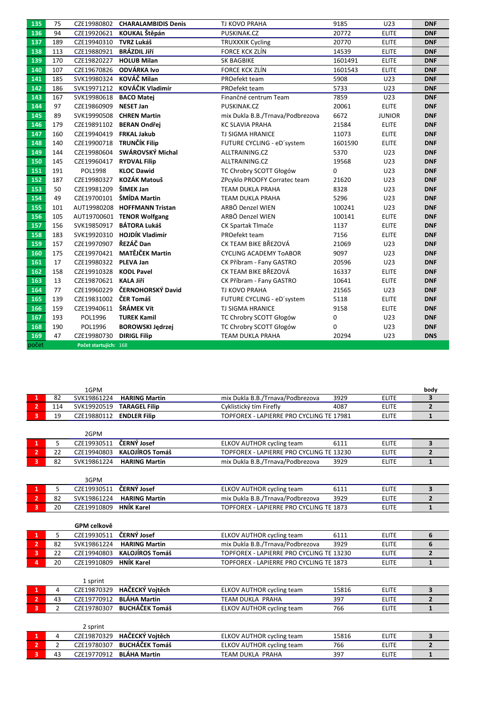| 135              | 75  | CZE19980802           | <b>CHARALAMBIDIS Denis</b>   | <b>TJ KOVO PRAHA</b>             | 9185    | U23           | <b>DNF</b> |
|------------------|-----|-----------------------|------------------------------|----------------------------------|---------|---------------|------------|
| 136              | 94  | CZE19920621           | KOUKAL Štěpán                | PUSKINAK.CZ                      | 20772   | <b>ELITE</b>  | <b>DNF</b> |
| 137              | 189 | CZE19940310           | <b>TVRZ Lukáš</b>            | <b>TRUXXXIK Cycling</b>          | 20770   | <b>ELITE</b>  | <b>DNF</b> |
| 138              | 113 | CZE19880921           | <b>BRÁZDIL JIří</b>          | <b>FORCE KCK ZLÍN</b>            | 14539   | <b>ELITE</b>  | <b>DNF</b> |
| 139              | 170 | CZE19820227           | <b>HOLUB Milan</b>           | <b>SK BAGBIKE</b>                | 1601491 | <b>ELITE</b>  | <b>DNF</b> |
| 140              | 107 | CZE19670826           | <b>ODVÁRKA Ivo</b>           | <b>FORCE KCK ZLÍN</b>            | 1601543 | <b>ELITE</b>  | <b>DNF</b> |
| 141              | 185 | SVK19980324           | KOVÁČ Milan                  | PROefekt team                    | 5908    | U23           | <b>DNF</b> |
| 142              | 186 | SVK19971212           | KOVÁČIK Vladimír             | PROefekt team                    | 5733    | U23           | <b>DNF</b> |
| 143              | 167 | SVK19980618           | <b>BACO Matej</b>            | Finančné centrum Team            | 7859    | U23           | <b>DNF</b> |
| 144              | 97  | CZE19860909           | <b>NESET Jan</b>             | PUSKINAK.CZ                      | 20061   | <b>ELITE</b>  | <b>DNF</b> |
| 145              | 89  |                       | SVK19990508 CHREN Martin     | mix Dukla B.B./Trnava/Podbrezova | 6672    | <b>JUNIOR</b> | <b>DNF</b> |
| 146              | 179 |                       | CZE19891102 BERAN Ondřej     | <b>KC SLAVIA PRAHA</b>           | 21584   | <b>ELITE</b>  | <b>DNF</b> |
| 147              | 160 | CZE19940419           | <b>FRKAL Jakub</b>           | <b>TJ SIGMA HRANICE</b>          | 11073   | <b>ELITE</b>  | <b>DNF</b> |
| 148              | 140 |                       | CZE19900718 TRUNČÍK Filip    | FUTURE CYCLING - eD'system       | 1601590 | <b>ELITE</b>  | <b>DNF</b> |
| 149              | 144 | CZE19980604           | SWÁROVSKÝ Michal             | ALLTRAINING.CZ                   | 5370    | U23           | <b>DNF</b> |
| 150              | 145 | CZE19960417           | <b>RYDVAL Filip</b>          | ALLTRAINING.CZ                   | 19568   | U23           | <b>DNF</b> |
| 151              | 191 | POL1998               | <b>KLOC Dawid</b>            | TC Chrobry SCOTT Głogów          | 0       | U23           | <b>DNF</b> |
| 152              | 187 | CZE19980327           | <b>KOZÁK Matouš</b>          | ZPcyklo PROOFY Corratec team     | 21620   | U23           | <b>DNF</b> |
| 153              | 50  | CZE19981209           | ŠIMEK Jan                    | <b>TEAM DUKLA PRAHA</b>          | 8328    | U23           | <b>DNF</b> |
| 154              | 49  | CZE19700101           | ŠMÍDA Martin                 | <b>TEAM DUKLA PRAHA</b>          | 5296    | U23           | <b>DNF</b> |
| 155              | 101 |                       | AUT19980208 HOFFMANN Tristan | ARBÖ Denzel WIEN                 | 100241  | U23           | <b>DNF</b> |
| 156              | 105 |                       | AUT19700601 TENOR Wolfgang   | ARBÖ Denzel WIEN                 | 100141  | <b>ELITE</b>  | <b>DNF</b> |
| 157              | 156 |                       | SVK19850917 BÁTORA Lukáš     | CK Spartak Tlmače                | 1137    | <b>ELITE</b>  | <b>DNF</b> |
| 158              | 183 |                       | SVK19920310 HOJDÍK Vladimír  | PROefekt team                    | 7156    | <b>ELITE</b>  | <b>DNF</b> |
| 159              | 157 | CZE19970907 ŘEZÁČ Dan |                              | CK TEAM BIKE BŘEZOVÁ             | 21069   | U23           | <b>DNF</b> |
| 160              | 175 | CZE19970421           | <b>MATĚJČEK Martin</b>       | <b>CYCLING ACADEMY TOABOR</b>    | 9097    | U23           | <b>DNF</b> |
| 161              | 17  | CZE19980322           | <b>PLEVA Jan</b>             | CK Příbram - Fany GASTRO         | 20596   | U23           | <b>DNF</b> |
| $\overline{162}$ | 158 | CZE19910328           | <b>KODL Pavel</b>            | CK TEAM BIKE BŘEZOVÁ             | 16337   | <b>ELITE</b>  | <b>DNF</b> |
| 163              | 13  | CZE19870621 KALA Jiří |                              | CK Příbram - Fany GASTRO         | 10641   | <b>ELITE</b>  | <b>DNF</b> |
| 164              | 77  | CZE19960229           | ČERNOHORSKÝ David            | TJ KOVO PRAHA                    | 21565   | U23           | <b>DNF</b> |
| 165              | 139 | CZE19831002           | ČER Tomáš                    | FUTURE CYCLING - eD'system       | 5118    | <b>ELITE</b>  | <b>DNF</b> |
| 166              | 159 | CZE19940611           | ŠRÁMEK Vít                   | <b>TJ SIGMA HRANICE</b>          | 9158    | <b>ELITE</b>  | <b>DNF</b> |
| 167              | 193 | POL1996               | <b>TUREK Kamil</b>           | TC Chrobry SCOTT Głogów          | 0       | U23           | <b>DNF</b> |
| 168              | 190 | POL1996               | <b>BOROWSKI Jedrzej</b>      | TC Chrobry SCOTT Głogów          | 0       | U23           | <b>DNF</b> |
| 169              | 47  | CZE19980730           | <b>DIRIGL Filip</b>          | <b>TEAM DUKLA PRAHA</b>          | 20294   | U23           | <b>DNS</b> |
| počet            |     | Počet startujích: 168 |                              |                                  |         |               |            |

|                         |                | 1GPM        |                        |                                          |       |              | body           |
|-------------------------|----------------|-------------|------------------------|------------------------------------------|-------|--------------|----------------|
| 1                       | 82             | SVK19861224 | <b>HARING Martin</b>   | mix Dukla B.B./Trnava/Podbrezova         | 3929  | <b>ELITE</b> | 3              |
| $\overline{2}$          | 114            | SVK19920519 | <b>TARAGEL Filip</b>   | Cyklistický tím Firefly                  | 4087  | <b>ELITE</b> | $\overline{2}$ |
| $\overline{3}$          | 19             | CZE19880112 | <b>ENDLER Filip</b>    | TOPFOREX - LAPIERRE PRO CYCLING TE 17981 |       | <b>ELITE</b> | $\mathbf{1}$   |
|                         |                |             |                        |                                          |       |              |                |
|                         |                | 2GPM        |                        |                                          |       |              |                |
| 1                       | 5              | CZE19930511 | ČERNÝ Josef            | <b>ELKOV AUTHOR cycling team</b>         | 6111  | <b>ELITE</b> | 3              |
| $\overline{2}$          | 22             | CZE19940803 | <b>KALOJÍROS Tomáš</b> | TOPFOREX - LAPIERRE PRO CYCLING TE 13230 |       | <b>ELITE</b> | 2              |
| $\overline{\mathbf{3}}$ | 82             | SVK19861224 | <b>HARING Martin</b>   | mix Dukla B.B./Trnava/Podbrezova         | 3929  | <b>ELITE</b> | $\mathbf{1}$   |
|                         |                | 3GPM        |                        |                                          |       |              |                |
| $\mathbf{1}$            | 5              | CZE19930511 | ČERNÝ Josef            | <b>ELKOV AUTHOR cycling team</b>         | 6111  | <b>ELITE</b> | 3              |
| $\overline{2}$          | 82             | SVK19861224 | <b>HARING Martin</b>   | mix Dukla B.B./Trnava/Podbrezova         | 3929  | <b>ELITE</b> | $\overline{2}$ |
| 3                       | 20             | CZE19910809 | <b>HNÍK Karel</b>      | TOPFOREX - LAPIERRE PRO CYCLING TE 1873  |       | <b>ELITE</b> | $\mathbf{1}$   |
|                         |                | GPM celkově |                        |                                          |       |              |                |
| $\mathbf{1}$            | 5              | CZE19930511 | ČERNÝ Josef            | ELKOV AUTHOR cycling team                | 6111  | <b>ELITE</b> | 6              |
| $\overline{2}$          | 82             | SVK19861224 | <b>HARING Martin</b>   | mix Dukla B.B./Trnava/Podbrezova         | 3929  | <b>ELITE</b> | 6              |
| 3                       | 22             | CZE19940803 | <b>KALOJÍROS Tomáš</b> | TOPFOREX - LAPIERRE PRO CYCLING TE 13230 |       | <b>ELITE</b> | $\overline{2}$ |
| 4                       | 20             | CZE19910809 | <b>HNÍK Karel</b>      | TOPFOREX - LAPIERRE PRO CYCLING TE 1873  |       | <b>ELITE</b> | $\mathbf{1}$   |
|                         |                | 1 sprint    |                        |                                          |       |              |                |
| $\mathbf{1}$            | 4              | CZE19870329 | HAČECKÝ Vojtěch        | <b>ELKOV AUTHOR cycling team</b>         | 15816 | <b>ELITE</b> | 3              |
| $\overline{2}$          | 43             | CZE19770912 | <b>BLÁHA Martin</b>    | <b>TEAM DUKLA PRAHA</b>                  | 397   | <b>ELITE</b> | $\overline{2}$ |
| $\overline{\mathbf{3}}$ | $\overline{2}$ | CZE19780307 | <b>BUCHÁČEK Tomáš</b>  | <b>ELKOV AUTHOR cycling team</b>         | 766   | <b>ELITE</b> | $\mathbf{1}$   |
|                         |                | 2 sprint    |                        |                                          |       |              |                |
| $\mathbf{1}$            | 4              | CZE19870329 | HAČECKÝ Vojtěch        | ELKOV AUTHOR cycling team                | 15816 | <b>ELITE</b> | 3              |
| $\overline{2}$          | $\overline{2}$ | CZE19780307 | <b>BUCHÁČEK Tomáš</b>  | ELKOV AUTHOR cycling team                | 766   | <b>ELITE</b> | 2              |
| $\overline{3}$          | 43             | CZE19770912 | <b>BLÁHA Martin</b>    | <b>TEAM DUKLA PRAHA</b>                  | 397   | <b>ELITE</b> | $\mathbf{1}$   |